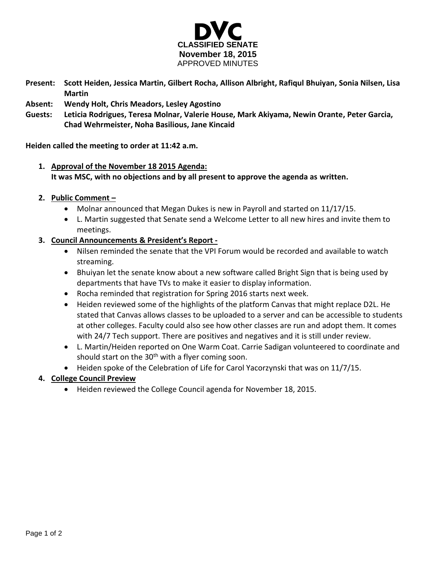

- **Present: Scott Heiden, Jessica Martin, Gilbert Rocha, Allison Albright, Rafiqul Bhuiyan, Sonia Nilsen, Lisa Martin**
- **Absent: Wendy Holt, Chris Meadors, Lesley Agostino**
- **Guests: Leticia Rodrigues, Teresa Molnar, Valerie House, Mark Akiyama, Newin Orante, Peter Garcia, Chad Wehrmeister, Noha Basilious, Jane Kincaid**

**Heiden called the meeting to order at 11:42 a.m.**

- **1. Approval of the November 18 2015 Agenda: It was MSC, with no objections and by all present to approve the agenda as written.**
- **2. Public Comment –**
	- Molnar announced that Megan Dukes is new in Payroll and started on 11/17/15.
	- L. Martin suggested that Senate send a Welcome Letter to all new hires and invite them to meetings.
- **3. Council Announcements & President's Report -**
	- Nilsen reminded the senate that the VPI Forum would be recorded and available to watch streaming.
	- Bhuiyan let the senate know about a new software called Bright Sign that is being used by departments that have TVs to make it easier to display information.
	- Rocha reminded that registration for Spring 2016 starts next week.
	- Heiden reviewed some of the highlights of the platform Canvas that might replace D2L. He stated that Canvas allows classes to be uploaded to a server and can be accessible to students at other colleges. Faculty could also see how other classes are run and adopt them. It comes with 24/7 Tech support. There are positives and negatives and it is still under review.
	- L. Martin/Heiden reported on One Warm Coat. Carrie Sadigan volunteered to coordinate and should start on the  $30<sup>th</sup>$  with a flyer coming soon.
	- Heiden spoke of the Celebration of Life for Carol Yacorzynski that was on 11/7/15.
- **4. College Council Preview**
	- Heiden reviewed the College Council agenda for November 18, 2015.